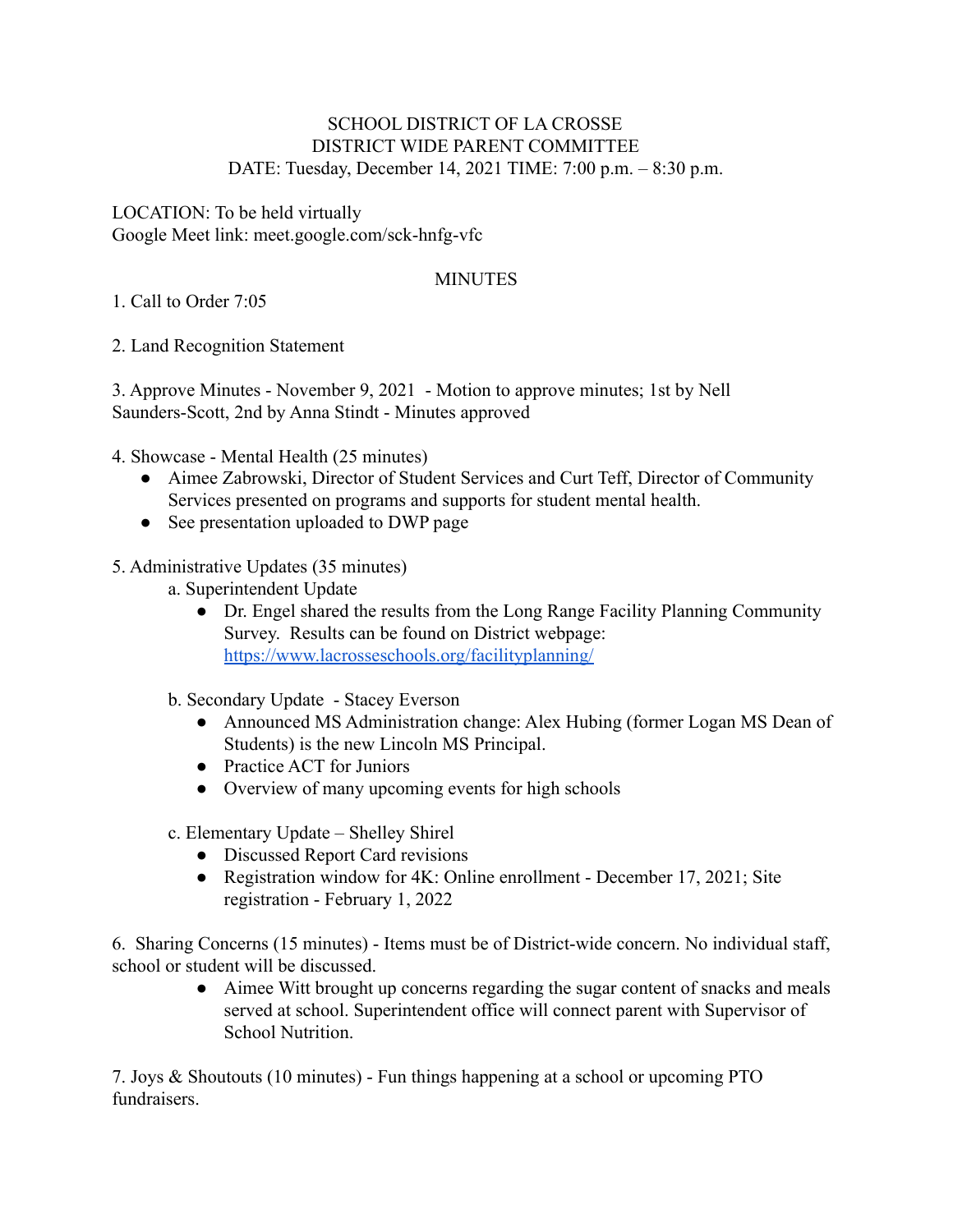## SCHOOL DISTRICT OF LA CROSSE DISTRICT WIDE PARENT COMMITTEE DATE: Tuesday, December 14, 2021 TIME: 7:00 p.m. – 8:30 p.m.

LOCATION: To be held virtually Google Meet link: meet.google.com/sck-hnfg-vfc

## **MINUTES**

1. Call to Order 7:05

2. Land Recognition Statement

3. Approve Minutes - November 9, 2021 - Motion to approve minutes; 1st by Nell Saunders-Scott, 2nd by Anna Stindt - Minutes approved

4. Showcase - Mental Health (25 minutes)

- Aimee Zabrowski, Director of Student Services and Curt Teff, Director of Community Services presented on programs and supports for student mental health.
- See presentation uploaded to DWP page

## 5. Administrative Updates (35 minutes)

- a. Superintendent Update
	- Dr. Engel shared the results from the Long Range Facility Planning Community Survey. Results can be found on District webpage: <https://www.lacrosseschools.org/facilityplanning/>
- b. Secondary Update Stacey Everson
	- Announced MS Administration change: Alex Hubing (former Logan MS Dean of Students) is the new Lincoln MS Principal.
	- Practice ACT for Juniors
	- Overview of many upcoming events for high schools
- c. Elementary Update Shelley Shirel
	- Discussed Report Card revisions
	- Registration window for 4K: Online enrollment December 17, 2021; Site registration - February 1, 2022

6. Sharing Concerns (15 minutes) - Items must be of District-wide concern. No individual staff, school or student will be discussed.

> ● Aimee Witt brought up concerns regarding the sugar content of snacks and meals served at school. Superintendent office will connect parent with Supervisor of School Nutrition.

7. Joys & Shoutouts (10 minutes) - Fun things happening at a school or upcoming PTO fundraisers.